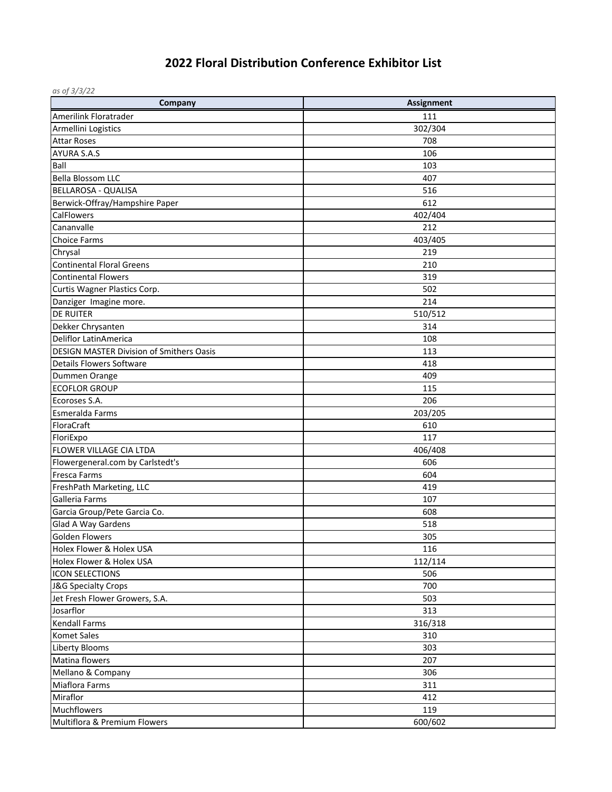## **2022 Floral Distribution Conference Exhibitor List**

| as of 3/3/22                                    |                   |
|-------------------------------------------------|-------------------|
| Company                                         | <b>Assignment</b> |
| Amerilink Floratrader                           | 111               |
| Armellini Logistics                             | 302/304           |
| <b>Attar Roses</b>                              | 708               |
| <b>AYURA S.A.S</b>                              | 106               |
| Ball                                            | 103               |
| <b>Bella Blossom LLC</b>                        | 407               |
| <b>BELLAROSA - QUALISA</b>                      | 516               |
| Berwick-Offray/Hampshire Paper                  | 612               |
| <b>CalFlowers</b>                               | 402/404           |
| Cananvalle                                      | 212               |
| <b>Choice Farms</b>                             | 403/405           |
| Chrysal                                         | 219               |
| <b>Continental Floral Greens</b>                | 210               |
| <b>Continental Flowers</b>                      | 319               |
| Curtis Wagner Plastics Corp.                    | 502               |
| Danziger Imagine more.                          | 214               |
| <b>DE RUITER</b>                                | 510/512           |
| Dekker Chrysanten                               | 314               |
| <b>Deliflor LatinAmerica</b>                    | 108               |
| <b>DESIGN MASTER Division of Smithers Oasis</b> | 113               |
| <b>Details Flowers Software</b>                 | 418               |
| Dummen Orange                                   | 409               |
| <b>ECOFLOR GROUP</b>                            | 115               |
| Ecoroses S.A.                                   | 206               |
| Esmeralda Farms                                 | 203/205           |
| FloraCraft                                      | 610               |
| FloriExpo                                       | 117               |
| FLOWER VILLAGE CIA LTDA                         | 406/408           |
| Flowergeneral.com by Carlstedt's                | 606               |
| <b>Fresca Farms</b>                             | 604               |
| FreshPath Marketing, LLC                        | 419               |
| Galleria Farms                                  | 107               |
| Garcia Group/Pete Garcia Co.                    | 608               |
| Glad A Way Gardens                              | 518               |
| <b>Golden Flowers</b>                           | 305               |
| Holex Flower & Holex USA                        | 116               |
| Holex Flower & Holex USA                        | 112/114           |
| <b>ICON SELECTIONS</b>                          | 506               |
| J&G Specialty Crops                             | 700               |
| Jet Fresh Flower Growers, S.A.                  | 503               |
| Josarflor                                       | 313               |
| <b>Kendall Farms</b>                            | 316/318           |
| <b>Komet Sales</b>                              | 310               |
| Liberty Blooms                                  | 303               |
| Matina flowers                                  | 207               |
| Mellano & Company                               | 306               |
| <b>Miaflora Farms</b>                           | 311               |
| Miraflor                                        | 412               |
| <b>Muchflowers</b>                              | 119               |
| Multiflora & Premium Flowers                    | 600/602           |